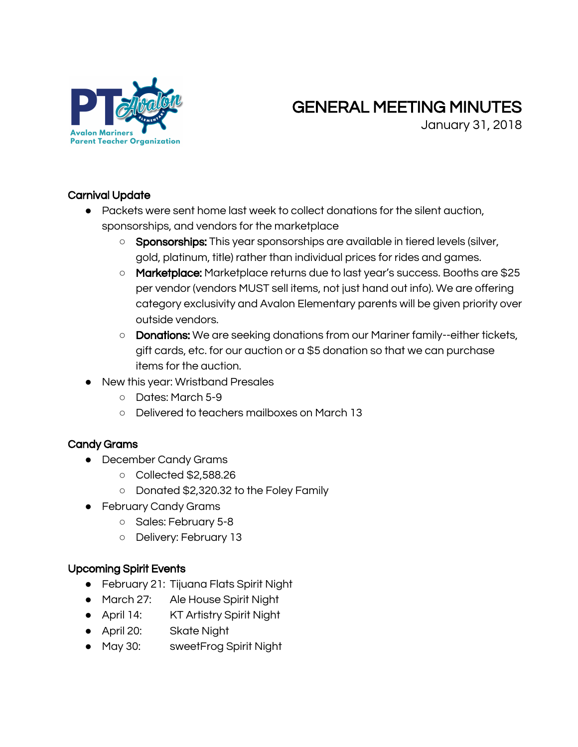

# GENERAL MEETING MINUTES

January 31, 2018

### Carnival Update

- Packets were sent home last week to collect donations for the silent auction, sponsorships, and vendors for the marketplace
	- o Sponsorships: This year sponsorships are available in tiered levels (silver, gold, platinum, title) rather than individual prices for rides and games.
	- o Marketplace: Marketplace returns due to last year's success. Booths are \$25 per vendor (vendors MUST sell items, not just hand out info). We are offering category exclusivity and Avalon Elementary parents will be given priority over outside vendors.
	- **Donations:** We are seeking donations from our Mariner family--either tickets, gift cards, etc. for our auction or a \$5 donation so that we can purchase items for the auction.
- New this year: Wristband Presales
	- Dates: March 5-9
	- Delivered to teachers mailboxes on March 13

### Candy Grams

- December Candy Grams
	- Collected \$2,588.26
	- Donated \$2,320.32 to the Foley Family
- February Candy Grams
	- Sales: February 5-8
	- Delivery: February 13

### Upcoming Spirit Events

- February 21: Tijuana Flats Spirit Night
- March 27: Ale House Spirit Night
- April 14: KT Artistry Spirit Night
- April 20: Skate Night
- May 30: sweetFrog Spirit Night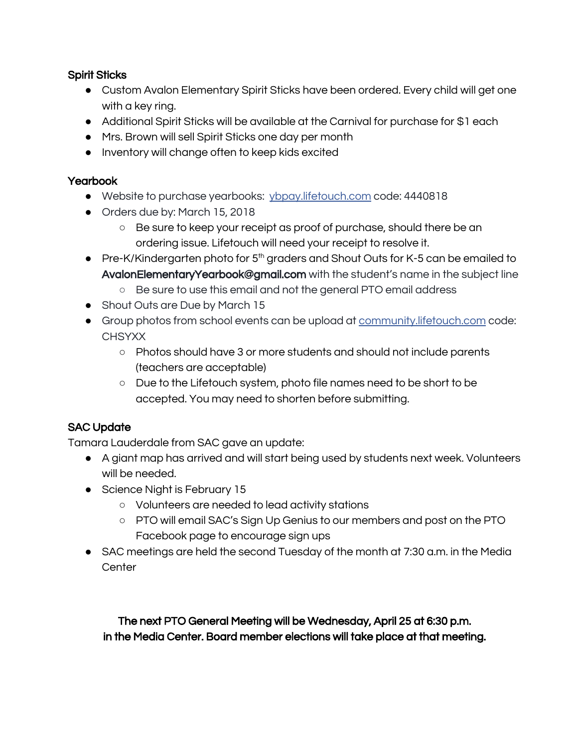#### Spirit Sticks

- Custom Avalon Elementary Spirit Sticks have been ordered. Every child will get one with a key ring.
- Additional Spirit Sticks will be available at the Carnival for purchase for \$1 each
- Mrs. Brown will sell Spirit Sticks one day per month
- Inventory will change often to keep kids excited

#### **Yearbook**

- Website to purchase yearbooks: [ybpay.lifetouch.com](http://ybpay.lifetouch.com/) code: 4440818
- Orders due by: March 15, 2018
	- Be sure to keep your receipt as proof of purchase, should there be an ordering issue. Lifetouch will need your receipt to resolve it.
- Pre-K/Kindergarten photo for 5<sup>th</sup> graders and Shout Outs for K-5 can be emailed to AvalonElementaryYearbook@gmail.com with the student's name in the subject line
	- Be sure to use this email and not the general PTO email address
- Shout Outs are Due by March 15
- Group photos from school events can be upload at [community.lifetouch.com](http://community.lifetouch.com/) code: **CHSYXX** 
	- Photos should have 3 or more students and should not include parents (teachers are acceptable)
	- Due to the Lifetouch system, photo file names need to be short to be accepted. You may need to shorten before submitting.

### SAC Update

Tamara Lauderdale from SAC gave an update:

- A giant map has arrived and will start being used by students next week. Volunteers will be needed.
- Science Night is February 15
	- Volunteers are needed to lead activity stations
	- PTO will email SAC's Sign Up Genius to our members and post on the PTO Facebook page to encourage sign ups
- SAC meetings are held the second Tuesday of the month at 7:30 a.m. in the Media **Center**

The next PTO General Meeting will be Wednesday, April 25 at 6:30 p.m. in the Media Center. Board member elections will take place at that meeting.